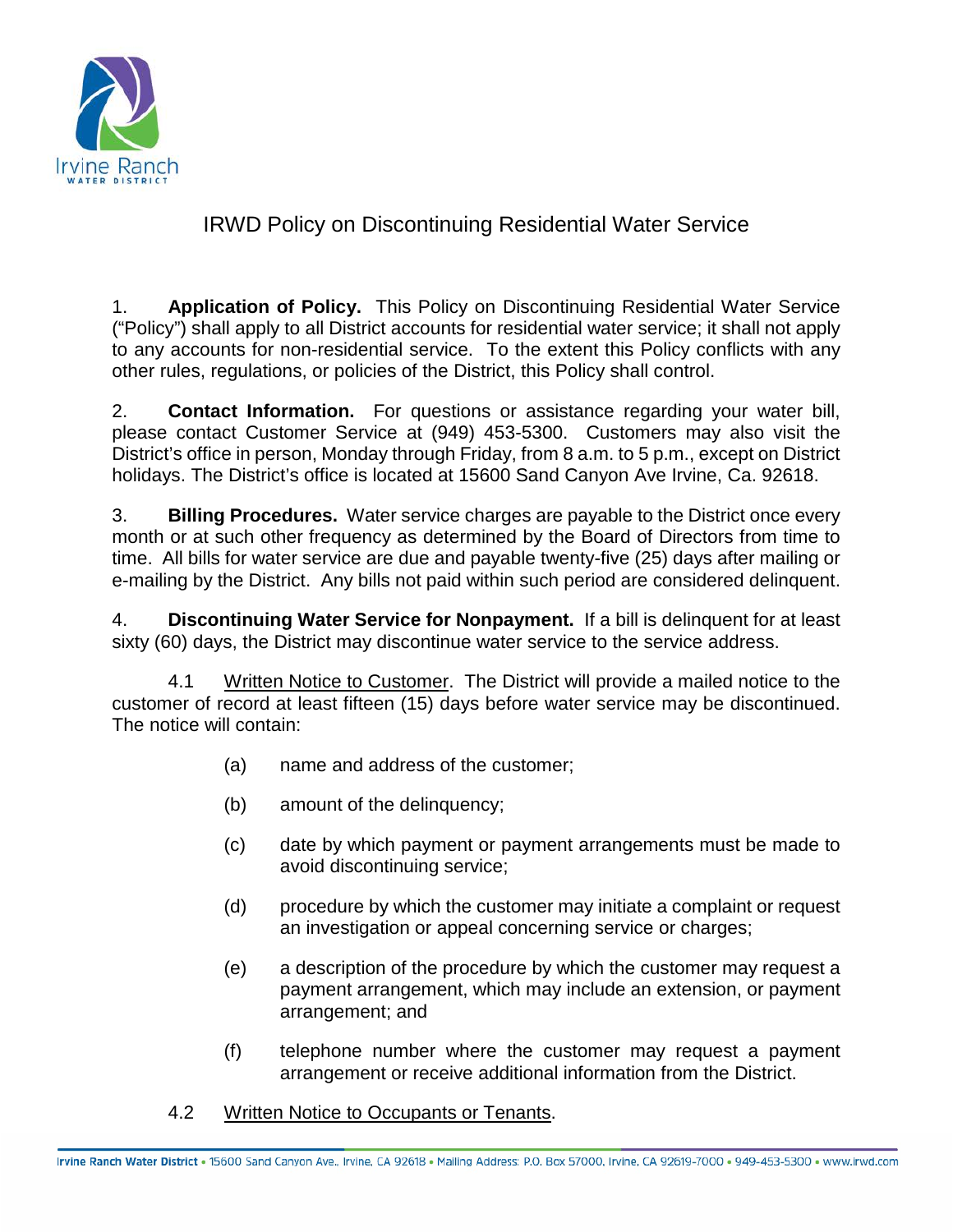

# IRWD Policy on Discontinuing Residential Water Service

1. **Application of Policy.** This Policy on Discontinuing Residential Water Service ("Policy") shall apply to all District accounts for residential water service; it shall not apply to any accounts for non-residential service. To the extent this Policy conflicts with any other rules, regulations, or policies of the District, this Policy shall control.

2. **Contact Information.** For questions or assistance regarding your water bill, please contact Customer Service at (949) 453-5300. Customers may also visit the District's office in person, Monday through Friday, from 8 a.m. to 5 p.m., except on District holidays. The District's office is located at 15600 Sand Canyon Ave Irvine, Ca. 92618.

3. **Billing Procedures.** Water service charges are payable to the District once every month or at such other frequency as determined by the Board of Directors from time to time. All bills for water service are due and payable twenty-five (25) days after mailing or e-mailing by the District. Any bills not paid within such period are considered delinquent.

4. **Discontinuing Water Service for Nonpayment.** If a bill is delinquent for at least sixty (60) days, the District may discontinue water service to the service address.

4.1 Written Notice to Customer. The District will provide a mailed notice to the customer of record at least fifteen (15) days before water service may be discontinued. The notice will contain:

- (a) name and address of the customer;
- (b) amount of the delinquency;
- (c) date by which payment or payment arrangements must be made to avoid discontinuing service;
- (d) procedure by which the customer may initiate a complaint or request an investigation or appeal concerning service or charges;
- (e) a description of the procedure by which the customer may request a payment arrangement, which may include an extension, or payment arrangement; and
- (f) telephone number where the customer may request a payment arrangement or receive additional information from the District.
- 4.2 Written Notice to Occupants or Tenants.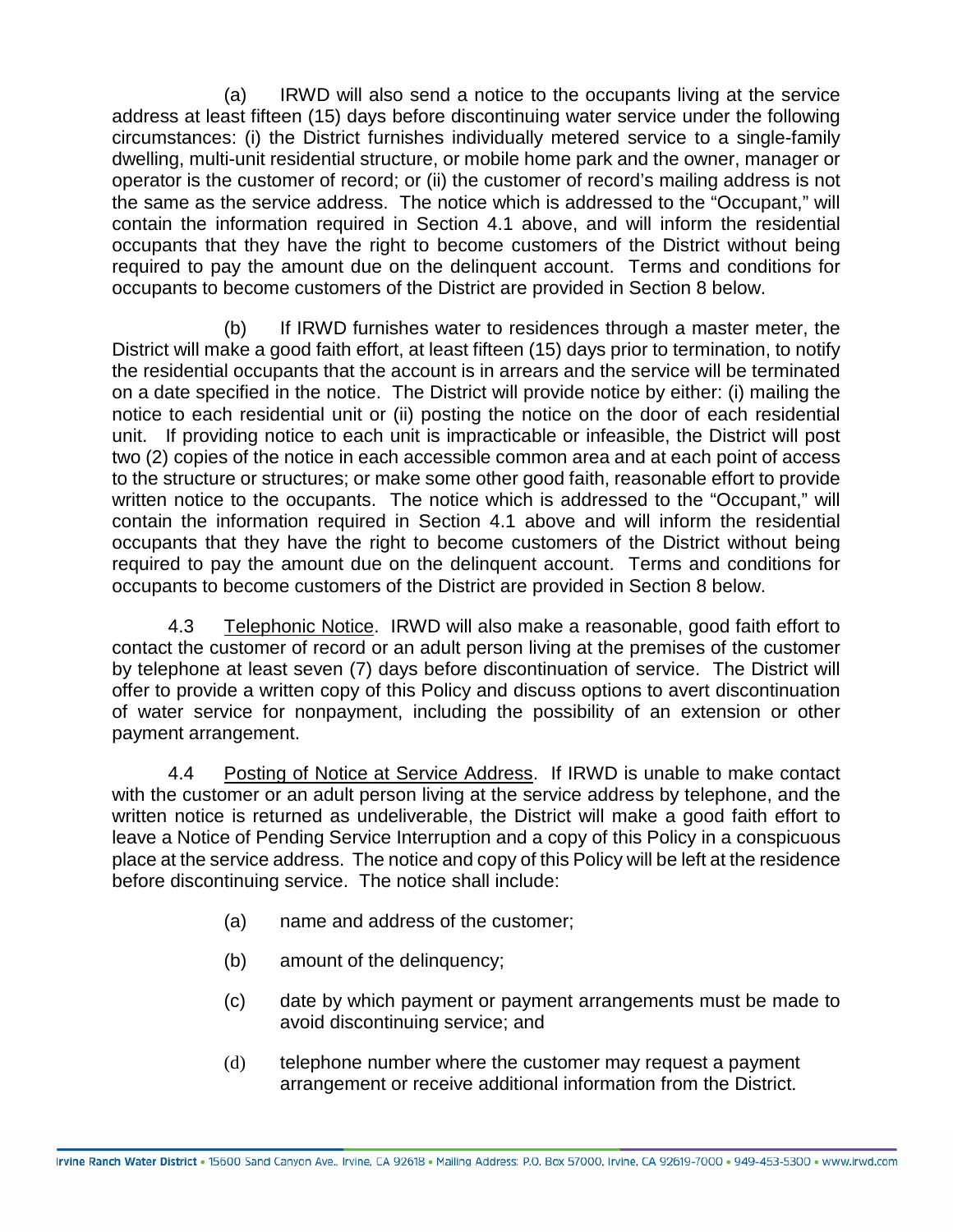(a) IRWD will also send a notice to the occupants living at the service address at least fifteen (15) days before discontinuing water service under the following circumstances: (i) the District furnishes individually metered service to a single-family dwelling, multi-unit residential structure, or mobile home park and the owner, manager or operator is the customer of record; or (ii) the customer of record's mailing address is not the same as the service address. The notice which is addressed to the "Occupant," will contain the information required in Section 4.1 above, and will inform the residential occupants that they have the right to become customers of the District without being required to pay the amount due on the delinquent account. Terms and conditions for occupants to become customers of the District are provided in Section 8 below.

(b) If IRWD furnishes water to residences through a master meter, the District will make a good faith effort, at least fifteen (15) days prior to termination, to notify the residential occupants that the account is in arrears and the service will be terminated on a date specified in the notice. The District will provide notice by either: (i) mailing the notice to each residential unit or (ii) posting the notice on the door of each residential unit. If providing notice to each unit is impracticable or infeasible, the District will post two (2) copies of the notice in each accessible common area and at each point of access to the structure or structures; or make some other good faith, reasonable effort to provide written notice to the occupants. The notice which is addressed to the "Occupant," will contain the information required in Section 4.1 above and will inform the residential occupants that they have the right to become customers of the District without being required to pay the amount due on the delinquent account. Terms and conditions for occupants to become customers of the District are provided in Section 8 below.

4.3 Telephonic Notice. IRWD will also make a reasonable, good faith effort to contact the customer of record or an adult person living at the premises of the customer by telephone at least seven (7) days before discontinuation of service. The District will offer to provide a written copy of this Policy and discuss options to avert discontinuation of water service for nonpayment, including the possibility of an extension or other payment arrangement.

4.4 Posting of Notice at Service Address. If IRWD is unable to make contact with the customer or an adult person living at the service address by telephone, and the written notice is returned as undeliverable, the District will make a good faith effort to leave a Notice of Pending Service Interruption and a copy of this Policy in a conspicuous place at the service address. The notice and copy of this Policy will be left at the residence before discontinuing service. The notice shall include:

- (a) name and address of the customer;
- (b) amount of the delinquency;
- (c) date by which payment or payment arrangements must be made to avoid discontinuing service; and
- (d) telephone number where the customer may request a payment arrangement or receive additional information from the District.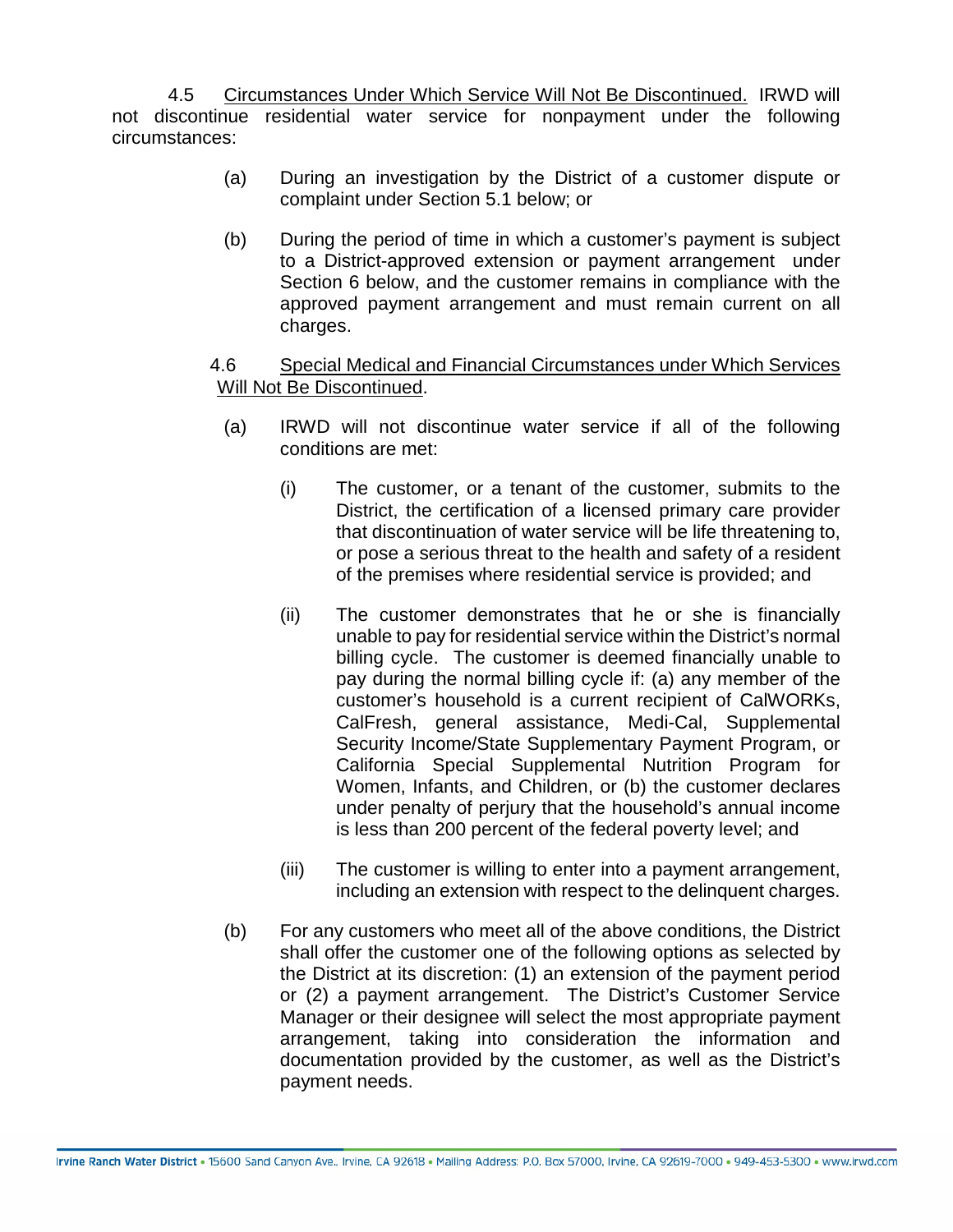4.5 Circumstances Under Which Service Will Not Be Discontinued. IRWD will not discontinue residential water service for nonpayment under the following circumstances:

- (a) During an investigation by the District of a customer dispute or complaint under Section 5.1 below; or
- (b) During the period of time in which a customer's payment is subject to a District-approved extension or payment arrangement under Section 6 below, and the customer remains in compliance with the approved payment arrangement and must remain current on all charges.

#### 4.6 Special Medical and Financial Circumstances under Which Services Will Not Be Discontinued.

- (a) IRWD will not discontinue water service if all of the following conditions are met:
	- (i) The customer, or a tenant of the customer, submits to the District, the certification of a licensed primary care provider that discontinuation of water service will be life threatening to, or pose a serious threat to the health and safety of a resident of the premises where residential service is provided; and
	- (ii) The customer demonstrates that he or she is financially unable to pay for residential service within the District's normal billing cycle. The customer is deemed financially unable to pay during the normal billing cycle if: (a) any member of the customer's household is a current recipient of CalWORKs, CalFresh, general assistance, Medi-Cal, Supplemental Security Income/State Supplementary Payment Program, or California Special Supplemental Nutrition Program for Women, Infants, and Children, or (b) the customer declares under penalty of perjury that the household's annual income is less than 200 percent of the federal poverty level; and
	- (iii) The customer is willing to enter into a payment arrangement, including an extension with respect to the delinquent charges.
- (b) For any customers who meet all of the above conditions, the District shall offer the customer one of the following options as selected by the District at its discretion: (1) an extension of the payment period or (2) a payment arrangement. The District's Customer Service Manager or their designee will select the most appropriate payment arrangement, taking into consideration the information and documentation provided by the customer, as well as the District's payment needs.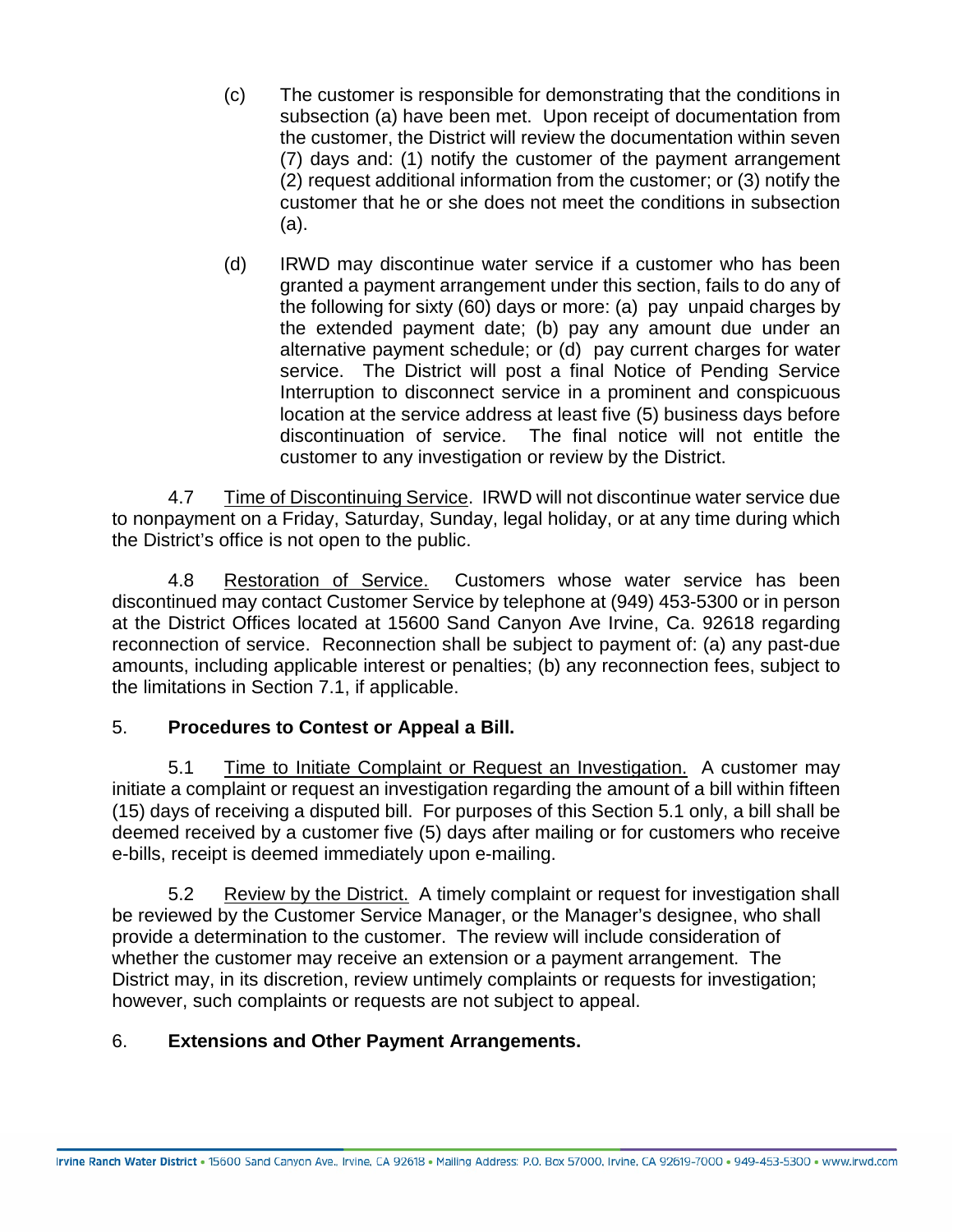- (c) The customer is responsible for demonstrating that the conditions in subsection (a) have been met. Upon receipt of documentation from the customer, the District will review the documentation within seven (7) days and: (1) notify the customer of the payment arrangement (2) request additional information from the customer; or (3) notify the customer that he or she does not meet the conditions in subsection (a).
- (d) IRWD may discontinue water service if a customer who has been granted a payment arrangement under this section, fails to do any of the following for sixty (60) days or more: (a) pay unpaid charges by the extended payment date; (b) pay any amount due under an alternative payment schedule; or (d) pay current charges for water service. The District will post a final Notice of Pending Service Interruption to disconnect service in a prominent and conspicuous location at the service address at least five (5) business days before discontinuation of service. The final notice will not entitle the customer to any investigation or review by the District.

4.7 Time of Discontinuing Service. IRWD will not discontinue water service due to nonpayment on a Friday, Saturday, Sunday, legal holiday, or at any time during which the District's office is not open to the public.

4.8 Restoration of Service. Customers whose water service has been discontinued may contact Customer Service by telephone at (949) 453-5300 or in person at the District Offices located at 15600 Sand Canyon Ave Irvine, Ca. 92618 regarding reconnection of service. Reconnection shall be subject to payment of: (a) any past-due amounts, including applicable interest or penalties; (b) any reconnection fees, subject to the limitations in Section 7.1, if applicable.

### 5. **Procedures to Contest or Appeal a Bill.**

5.1 Time to Initiate Complaint or Request an Investigation. A customer may initiate a complaint or request an investigation regarding the amount of a bill within fifteen (15) days of receiving a disputed bill. For purposes of this Section 5.1 only, a bill shall be deemed received by a customer five (5) days after mailing or for customers who receive e-bills, receipt is deemed immediately upon e-mailing.

5.2 Review by the District. A timely complaint or request for investigation shall be reviewed by the Customer Service Manager, or the Manager's designee, who shall provide a determination to the customer. The review will include consideration of whether the customer may receive an extension or a payment arrangement. The District may, in its discretion, review untimely complaints or requests for investigation; however, such complaints or requests are not subject to appeal.

### 6. **Extensions and Other Payment Arrangements.**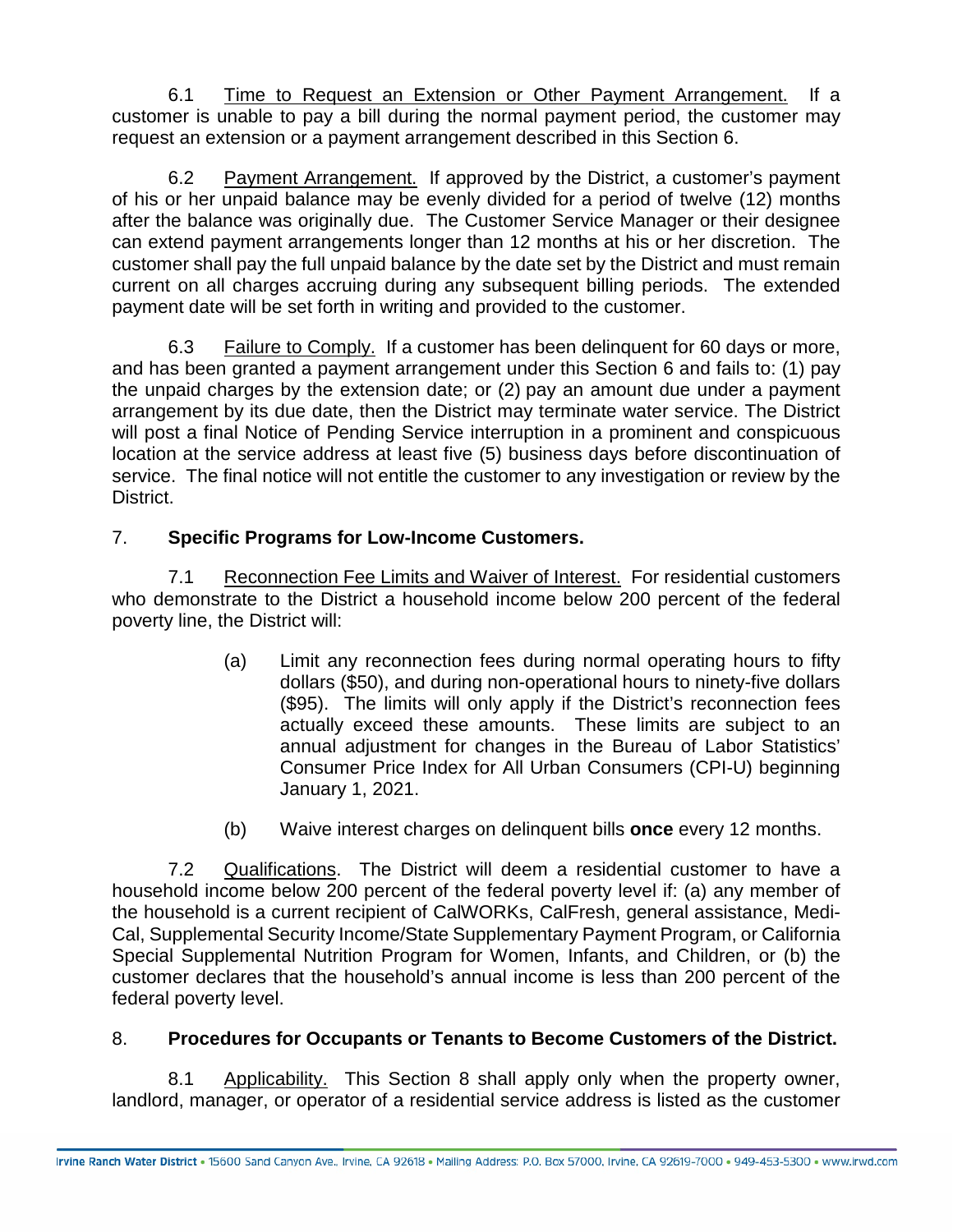6.1 Time to Request an Extension or Other Payment Arrangement. If a customer is unable to pay a bill during the normal payment period, the customer may request an extension or a payment arrangement described in this Section 6.

6.2 Payment Arrangement. If approved by the District, a customer's payment of his or her unpaid balance may be evenly divided for a period of twelve (12) months after the balance was originally due. The Customer Service Manager or their designee can extend payment arrangements longer than 12 months at his or her discretion. The customer shall pay the full unpaid balance by the date set by the District and must remain current on all charges accruing during any subsequent billing periods. The extended payment date will be set forth in writing and provided to the customer.

6.3 Failure to Comply. If a customer has been delinquent for 60 days or more, and has been granted a payment arrangement under this Section 6 and fails to: (1) pay the unpaid charges by the extension date; or (2) pay an amount due under a payment arrangement by its due date, then the District may terminate water service. The District will post a final Notice of Pending Service interruption in a prominent and conspicuous location at the service address at least five (5) business days before discontinuation of service. The final notice will not entitle the customer to any investigation or review by the District.

## 7. **Specific Programs for Low-Income Customers.**

7.1 Reconnection Fee Limits and Waiver of Interest. For residential customers who demonstrate to the District a household income below 200 percent of the federal poverty line, the District will:

- (a) Limit any reconnection fees during normal operating hours to fifty dollars (\$50), and during non-operational hours to ninety-five dollars (\$95). The limits will only apply if the District's reconnection fees actually exceed these amounts. These limits are subject to an annual adjustment for changes in the Bureau of Labor Statistics' Consumer Price Index for All Urban Consumers (CPI-U) beginning January 1, 2021.
- (b) Waive interest charges on delinquent bills **once** every 12 months.

7.2 Qualifications. The District will deem a residential customer to have a household income below 200 percent of the federal poverty level if: (a) any member of the household is a current recipient of CalWORKs, CalFresh, general assistance, Medi-Cal, Supplemental Security Income/State Supplementary Payment Program, or California Special Supplemental Nutrition Program for Women, Infants, and Children, or (b) the customer declares that the household's annual income is less than 200 percent of the federal poverty level.

### 8. **Procedures for Occupants or Tenants to Become Customers of the District.**

8.1 Applicability. This Section 8 shall apply only when the property owner, landlord, manager, or operator of a residential service address is listed as the customer